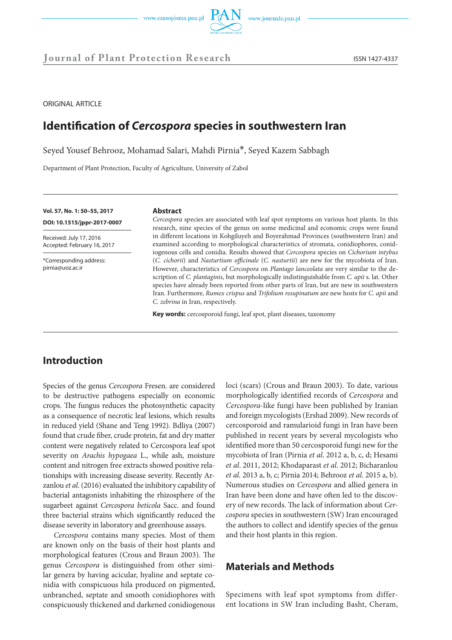



**Journal of Plant Protection Research** ISSN 1427-4337

ORIGINAL ARTICLE

## **Identifi cation of** *Cercospora* **species in southwestern Iran**

Seyed Yousef Behrooz, Mohamad Salari, Mahdi Pirnia\*, Seyed Kazem Sabbagh

Department of Plant Protection, Faculty of Agriculture, University of Zabol

**Vol. 57, No. 1: 50–55, 2017** 

**DOI: 10.1515/jppr-2017-0007**

Received: July 17, 2016 Accepted: February 16, 2017

\*Corresponding address: pirnia@uoz.ac.ir

#### **Abstract**

*Cercospora* species are associated with leaf spot symptoms on various host plants. In this research, nine species of the genus on some medicinal and economic crops were found in different locations in Kohgiluyeh and Boyerahmad Provinces (southwestern Iran) and examined according to morphological characteristics of stromata, conidiophores, conidiogenous cells and conidia. Results showed that *Cercospora* species on *Cichorium intybus* (*C. cichorii*) and *Nasturtium officinale* (*C. nasturtii*) are new for the mycobiota of Iran. However, characteristics of *Cercospora* on *Plantago lanceolata* are very similar to the description of *C. plantaginis*, but morphologically indistinguishable from *C. apii* s. lat. Other species have already been reported from other parts of Iran, but are new in southwestern Iran. Furthermore, *Rumex crispus* and *Trifolium resupinatum* are new hosts for *C. apii* and *C. zebrina* in Iran, respectively.

**Key words:** cercosporoid fungi, leaf spot, plant diseases, taxonomy

### **Introduction**

Species of the genus *Cercospora* Fresen. are considered to be destructive pathogens especially on economic crops. The fungus reduces the photosynthetic capacity as a consequence of necrotic leaf lesions, which results in reduced yield (Shane and Teng 1992). Bdliya (2007) found that crude fiber, crude protein, fat and dry matter content were negatively related to Cercospora leaf spot severity on *Arachis hypogaea* L., while ash, moisture content and nitrogen free extracts showed positive relationships with increasing disease severity. Recently Arzanlou *et al*. (2016) evaluated the inhibitory capability of bacterial antagonists inhabiting the rhizosphere of the sugarbeet against *Cercospora beticola* Sacc. and found three bacterial strains which significantly reduced the disease severity in laboratory and greenhouse assays.

*Cercospora* contains many species. Most of them are known only on the basis of their host plants and morphological features (Crous and Braun 2003). The genus *Cercospora* is distinguished from other similar genera by having acicular, hyaline and septate conidia with conspicuous hila produced on pigmented, unbranched, septate and smooth conidiophores with conspicuously thickened and darkened conidiogenous

loci (scars) (Crous and Braun 2003). To date, various morphologically identified records of *Cercospora* and *Cercospora*-like fungi have been published by Iranian and foreign mycologists (Ershad 2009). New records of cercosporoid and ramularioid fungi in Iran have been published in recent years by several mycologists who identified more than 50 cercosporoid fungi new for the mycobiota of Iran (Pirnia *et al*. 2012 a, b, c, d; Hesami *et al*. 2011, 2012; Khodaparast *et al*. 2012; Bicharanlou *et al*. 2013 a, b, c; Pirnia 2014; Behrooz *et al*. 2015 a, b). Numerous studies on *Cercospora* and allied genera in Iran have been done and have often led to the discovery of new records. The lack of information about *Cercospora* species in southwestern (SW) Iran encouraged the authors to collect and identify species of the genus and their host plants in this region.

### **Materials and Methods**

Specimens with leaf spot symptoms from different locations in SW Iran including Basht, Cheram,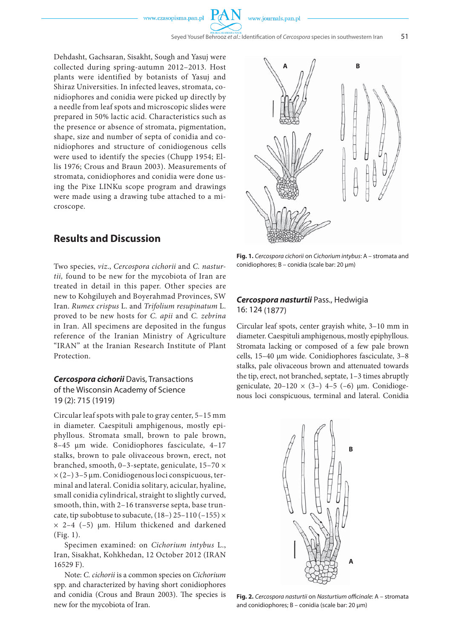

Dehdasht, Gachsaran, Sisakht, Sough and Yasuj were collected during spring-autumn 2012–2013. Host plants were identified by botanists of Yasuj and Shiraz Universities. In infected leaves, stromata, conidiophores and conidia were picked up directly by a needle from leaf spots and microscopic slides were prepared in 50% lactic acid. Characteristics such as the presence or absence of stromata, pigmentation, shape, size and number of septa of conidia and conidiophores and structure of conidiogenous cells were used to identify the species (Chupp 1954; Ellis 1976; Crous and Braun 2003). Measurements of stromata, conidiophores and conidia were done using the Pixe LINKu scope program and drawings were made using a drawing tube attached to a microscope.

### **Results and Discussion**

Two species, *viz*., *Cercospora cichorii* and *C. nasturtii,* found to be new for the mycobiota of Iran are treated in detail in this paper. Other species are new to Kohgiluyeh and Boyerahmad Provinces, SW Iran. *Rumex crispus* L. and *Trifolium resupinatum* L. proved to be new hosts for *C. apii* and *C. zebrina* in Iran. All specimens are deposited in the fungus reference of the Iranian Ministry of Agriculture "IRAN" at the Iranian Research Institute of Plant Protection.

### *Cercospora cichorii* Davis, Transactions of the Wisconsin Academy of Science 19 (2): 715 (1919)

Circular leaf spots with pale to gray center, 5–15 mm in diameter. Caespituli amphigenous, mostly epiphyllous. Stromata small, brown to pale brown, 8–45 μm wide. Conidiophores fasciculate, 4–17 stalks, brown to pale olivaceous brown, erect, not branched, smooth, 0–3-septate, geniculate, 15–70 ×  $\times$  (2–) 3–5 µm. Conidiogenous loci conspicuous, terminal and lateral. Conidia solitary, acicular, hyaline, small conidia cylindrical, straight to slightly curved, smooth, thin, with 2–16 transverse septa, base truncate, tip subobtuse to subacute,  $(18-)$  25–110 (–155)  $\times$  $\times$  2-4 (-5) µm. Hilum thickened and darkened (Fig. 1).

Specimen examined: on *Cichorium intybus* L., Iran, Sisakhat, Kohkhedan, 12 October 2012 (IRAN 16529 F).

Note: *C. cichorii* is a common species on *Cichorium* spp. and characterized by having short conidiophores and conidia (Crous and Braun 2003). The species is new for the mycobiota of Iran.



**Fig. 1.** Cercospora cichorii on Cichorium intybus: A – stromata and conidiophores; B – conidia (scale bar: 20 μm)

### *Cercospora nasturtii* Pass., Hedwigia 16: 124 (1877)

Circular leaf spots, center grayish white, 3–10 mm in diameter. Caespituli amphigenous, mostly epiphyllous. Stromata lacking or composed of a few pale brown cells, 15–40 μm wide. Conidiophores fasciculate, 3–8 stalks, pale olivaceous brown and attenuated towards the tip, erect, not branched, septate, 1–3 times abruptly geniculate,  $20-120 \times (3-)$  4-5 (-6) µm. Conidiogenous loci conspicuous, terminal and lateral. Conidia



Fig. 2. Cercospora nasturtii on Nasturtium officinale: A - stromata and conidiophores; B – conidia (scale bar: 20 μm)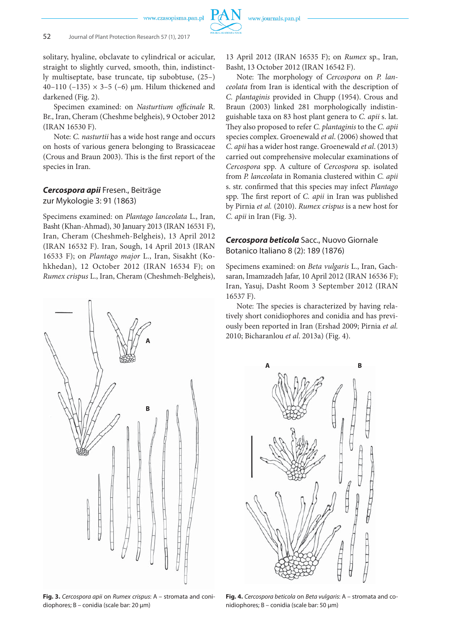solitary, hyaline, obclavate to cylindrical or acicular, straight to slightly curved, smooth, thin, indistinctly multiseptate, base truncate, tip subobtuse, (25–) 40–110 (–135) × 3–5 (–6) μm. Hilum thickened and darkened (Fig. 2).

Specimen examined: on *Nasturtium officinale* R. Br., Iran, Cheram (Cheshme belgheis), 9 October 2012 (IRAN 16530 F).

Note: *C. nasturtii* has a wide host range and occurs on hosts of various genera belonging to Brassicaceae (Crous and Braun 2003). This is the first report of the species in Iran.

# *Cercospora apii* Fresen., Beiträge

zur Mykologie 3: 91 (1863)

Specimens examined: on *Plantago lanceolata* L., Iran, Basht (Khan-Ahmad), 30 January 2013 (IRAN 16531 F), Iran, Cheram (Cheshmeh-Belgheis), 13 April 2012 (IRAN 16532 F). Iran, Sough, 14 April 2013 (IRAN 16533 F); on *Plantago major* L., Iran, Sisakht (Kohkhedan), 12 October 2012 (IRAN 16534 F); on *Rumex crispus* L., Iran, Cheram (Cheshmeh-Belgheis),



**Fig. 3.** Cercospora apii on Rumex crispus: A – stromata and conidiophores; B – conidia (scale bar: 20 μm)

13 April 2012 (IRAN 16535 F); on *Rumex* sp., Iran, Basht, 13 October 2012 (IRAN 16542 F).

Note: The morphology of *Cercospora* on *P. lanceolata* from Iran is identical with the description of *C. plantaginis* provided in Chupp (1954). Crous and Braun (2003) linked 281 morphologically indistinguishable taxa on 83 host plant genera to *C. apii* s. lat. They also proposed to refer *C. plantaginis* to the *C. apii* species complex. Groenewald *et al*. (2006) showed that *C. apii* has a wider host range. Groenewald *et al*. (2013) carried out comprehensive molecular examinations of *Cercospora* spp. A culture of *Cercospora* sp. isolated from *P. lanceolata* in Romania clustered within *C. apii* s. str. confirmed that this species may infect *Plantago* spp. The first report of *C. apii* in Iran was published by Pirnia *et al.* (2010). *Rumex crispus* is a new host for *C. apii* in Iran (Fig. 3).

### *Cercospora beticola* Sacc., Nuovo Giornale Botanico Italiano 8 (2): 189 (1876)

Specimens examined: on *Beta vulgaris* L., Iran, Gachsaran, Imamzadeh Jafar, 10 April 2012 (IRAN 16536 F); Iran, Yasuj, Dasht Room 3 September 2012 (IRAN 16537 F).

Note: The species is characterized by having relatively short conidiophores and conidia and has previously been reported in Iran (Ershad 2009; Pirnia *et al.* 2010; Bicharanlou *et al*. 2013a) (Fig. 4).



**Fig. 4.** Cercospora beticola on Beta vulgaris: A – stromata and conidiophores; B – conidia (scale bar: 50 μm)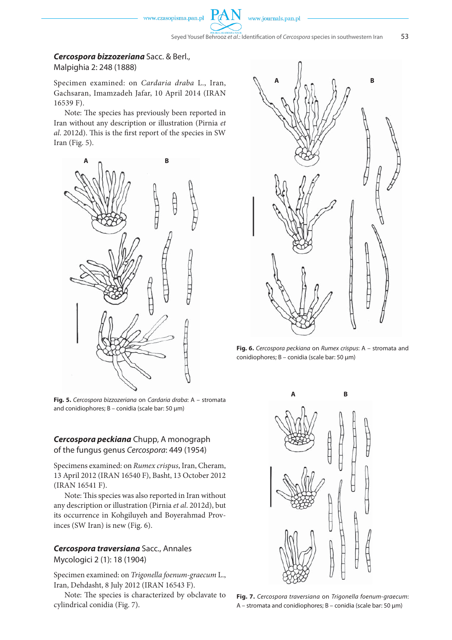

*Cercospora bizzozeriana* Sacc. & Berl.,

Malpighia 2: 248 (1888)

Specimen examined: on *Cardaria draba* L., Iran, Gachsaran, Imamzadeh Jafar, 10 April 2014 (IRAN 16539 F).

Note: The species has previously been reported in Iran without any description or illustration (Pirnia *et al*. 2012d). This is the first report of the species in SW Iran (Fig. 5).



**Fig. 5.** Cercospora bizzozeriana on Cardaria draba: A – stromata and conidiophores; B – conidia (scale bar: 50 μm)

### *Cercospora peckiana* Chupp, A monograph of the fungus genus Cercospora: 449 (1954)

Specimens examined: on *Rumex crispus*, Iran, Cheram, 13 April 2012 (IRAN 16540 F), Basht, 13 October 2012 (IRAN 16541 F).

Note: This species was also reported in Iran without any description or illustration (Pirnia *et al*. 2012d), but its occurrence in Kohgiluyeh and Boyerahmad Provinces (SW Iran) is new (Fig. 6).

### *Cercospora traversiana* Sacc., Annales Mycologici 2 (1): 18 (1904)

Specimen examined: on *Trigonella foenum-graecum* L., Iran, Dehdasht, 8 July 2012 (IRAN 16543 F).

Note: The species is characterized by obclavate to cylindrical conidia (Fig. 7).



**Fig. 6.** Cercospora peckiana on Rumex crispus: A – stromata and conidiophores; B – conidia (scale bar: 50 μm)



**Fig. 7.** Cercospora traversiana on Trigonella foenum-graecum: A – stromata and conidiophores; B – conidia (scale bar: 50 μm)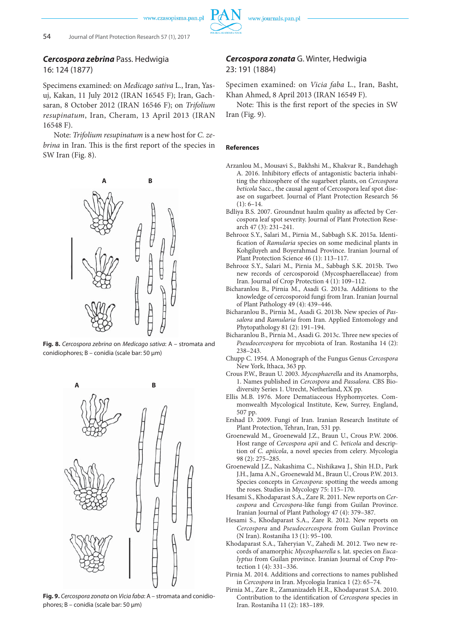## *Cercospora zebrina* Pass. Hedwigia

16: 124 (1877)

Specimens examined: on *Medicago sativa* L., Iran, Yasuj, Kakan, 11 July 2012 (IRAN 16545 F); Iran, Gachsaran, 8 October 2012 (IRAN 16546 F); on *Trifolium resupinatum*, Iran, Cheram, 13 April 2013 (IRAN 16548 F).

Note: *Trifolium resupinatum* is a new host for *C. zebrina* in Iran. This is the first report of the species in SW Iran (Fig. 8).



**Fig. 8.** Cercospora zebrina on Medicago sativa: A – stromata and conidiophores; B – conidia (scale bar: 50 μm)



**Fig. 9.** Cercospora zonata on Vicia faba: A – stromata and conidiophores; B – conidia (scale bar: 50 μm)

### *Cercospora zonata* G. Winter, Hedwigia 23: 191 (1884)

Specimen examined: on *Vicia faba* L., Iran, Basht, Khan Ahmed, 8 April 2013 (IRAN 16549 F).

Note: This is the first report of the species in SW Iran (Fig. 9).

#### **References**

- Arzanlou M., Mousavi S., Bakhshi M., Khakvar R., Bandehagh A. 2016. Inhibitory effects of antagonistic bacteria inhabiting the rhizosphere of the sugarbeet plants, on *Cercospora beticola* Sacc., the causal agent of Cercospora leaf spot disease on sugarbeet. Journal of Plant Protection Research 56  $(1): 6-14.$
- Bdliya B.S. 2007. Groundnut haulm quality as affected by Cercospora leaf spot severity. Journal of Plant Protection Research 47 (3): 231–241.
- Behrooz S.Y., Salari M., Pirnia M., Sabbagh S.K. 2015a. Identification of *Ramularia* species on some medicinal plants in Kohgiluyeh and Boyerahmad Province. Iranian Journal of Plant Protection Science 46 (1): 113–117.
- Behrooz S.Y., Salari M., Pirnia M., Sabbagh S.K. 2015b. Two new records of cercosporoid (Mycosphaerellaceae) from Iran. Journal of Crop Protection 4 (1): 109–112.
- Bicharanlou B., Pirnia M., Asadi G. 2013a. Additions to the knowledge of cercosporoid fungi from Iran. Iranian Journal of Plant Pathology 49 (4): 439–446.
- Bicharanlou B., Pirnia M., Asadi G. 2013b. New species of *Passalora* and *Ramularia* from Iran. Applied Entomology and Phytopathology 81 (2): 191–194.
- Bicharanlou B., Pirnia M., Asadi G. 2013c. Three new species of *Pseudocercospora* for mycobiota of Iran. Rostaniha 14 (2): 238–243.
- Chupp C. 1954. A Monograph of the Fungus Genus *Cercospora* New York, Ithaca, 363 pp.
- Crous P.W., Braun U. 2003. *Mycosphaerella* and its Anamorphs, 1. Names published in *Cercospora* and *Passalora*. CBS Biodiversity Series 1. Utrecht, Netherland, XX pp.
- Ellis M.B. 1976. More Dematiaceous Hyphomycetes. Commonwealth Mycological Institute, Kew, Surrey, England, 507 pp.
- Ershad D. 2009. Fungi of Iran. Iranian Research Institute of Plant Protection, Tehran, Iran, 531 pp.
- Groenewald M., Groenewald J.Z., Braun U., Crous P.W. 2006. Host range of *Cercospora apii* and *C. beticola* and description of *C. apiicola*, a novel species from celery. Mycologia 98 (2): 275–285.
- Groenewald J.Z., Nakashima C., Nishikawa J., Shin H.D., Park J.H., Jama A.N., Groenewald M., Braun U., Crous P.W. 2013. Species concepts in *Cercospora*: spotting the weeds among the roses. Studies in Mycology 75: 115–170.
- Hesami S., Khodaparast S.A., Zare R. 2011. New reports on *Cercospora* and *Cercospora*-like fungi from Guilan Province. Iranian Journal of Plant Pathology 47 (4): 379–387.
- Hesami S., Khodaparast S.A., Zare R. 2012. New reports on *Cercospora* and *Pseudocercospora* from Guilan Province (N Iran). Rostaniha 13 (1): 95–100.
- Khodaparast S.A., Taheryian V., Zahedi M. 2012. Two new records of anamorphic *Mycosphaerella* s. lat. species on *Eucalyptus* from Guilan province. Iranian Journal of Crop Protection 1 (4): 331–336.
- Pirnia M. 2014. Additions and corrections to names published in *Cercospora* in Iran. Mycologia Iranica 1 (2): 65–74.
- Pirnia M., Zare R., Zamanizadeh H.R., Khodaparast S.A. 2010. Contribution to the identification of *Cercospora* species in Iran. Rostaniha 11 (2): 183–189.